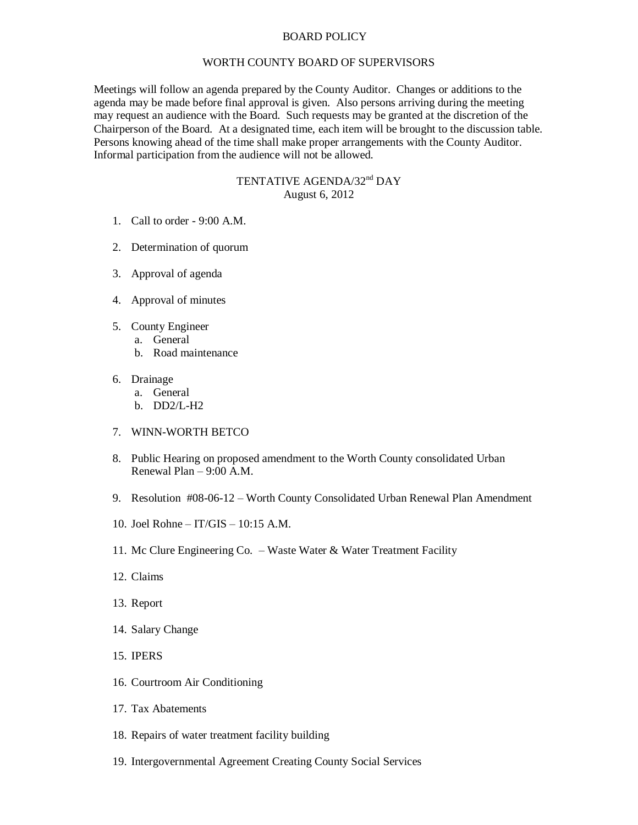## BOARD POLICY

## WORTH COUNTY BOARD OF SUPERVISORS

Meetings will follow an agenda prepared by the County Auditor. Changes or additions to the agenda may be made before final approval is given. Also persons arriving during the meeting may request an audience with the Board. Such requests may be granted at the discretion of the Chairperson of the Board. At a designated time, each item will be brought to the discussion table. Persons knowing ahead of the time shall make proper arrangements with the County Auditor. Informal participation from the audience will not be allowed.

## TENTATIVE AGENDA/32<sup>nd</sup> DAY August 6, 2012

- 1. Call to order 9:00 A.M.
- 2. Determination of quorum
- 3. Approval of agenda
- 4. Approval of minutes
- 5. County Engineer
	- a. General
		- b. Road maintenance
- 6. Drainage
	- a. General
	- b. DD2/L-H2
- 7. WINN-WORTH BETCO
- 8. Public Hearing on proposed amendment to the Worth County consolidated Urban Renewal Plan – 9:00 A.M.
- 9. Resolution #08-06-12 Worth County Consolidated Urban Renewal Plan Amendment
- 10. Joel Rohne IT/GIS 10:15 A.M.
- 11. Mc Clure Engineering Co. Waste Water & Water Treatment Facility
- 12. Claims
- 13. Report
- 14. Salary Change
- 15. IPERS
- 16. Courtroom Air Conditioning
- 17. Tax Abatements
- 18. Repairs of water treatment facility building
- 19. Intergovernmental Agreement Creating County Social Services